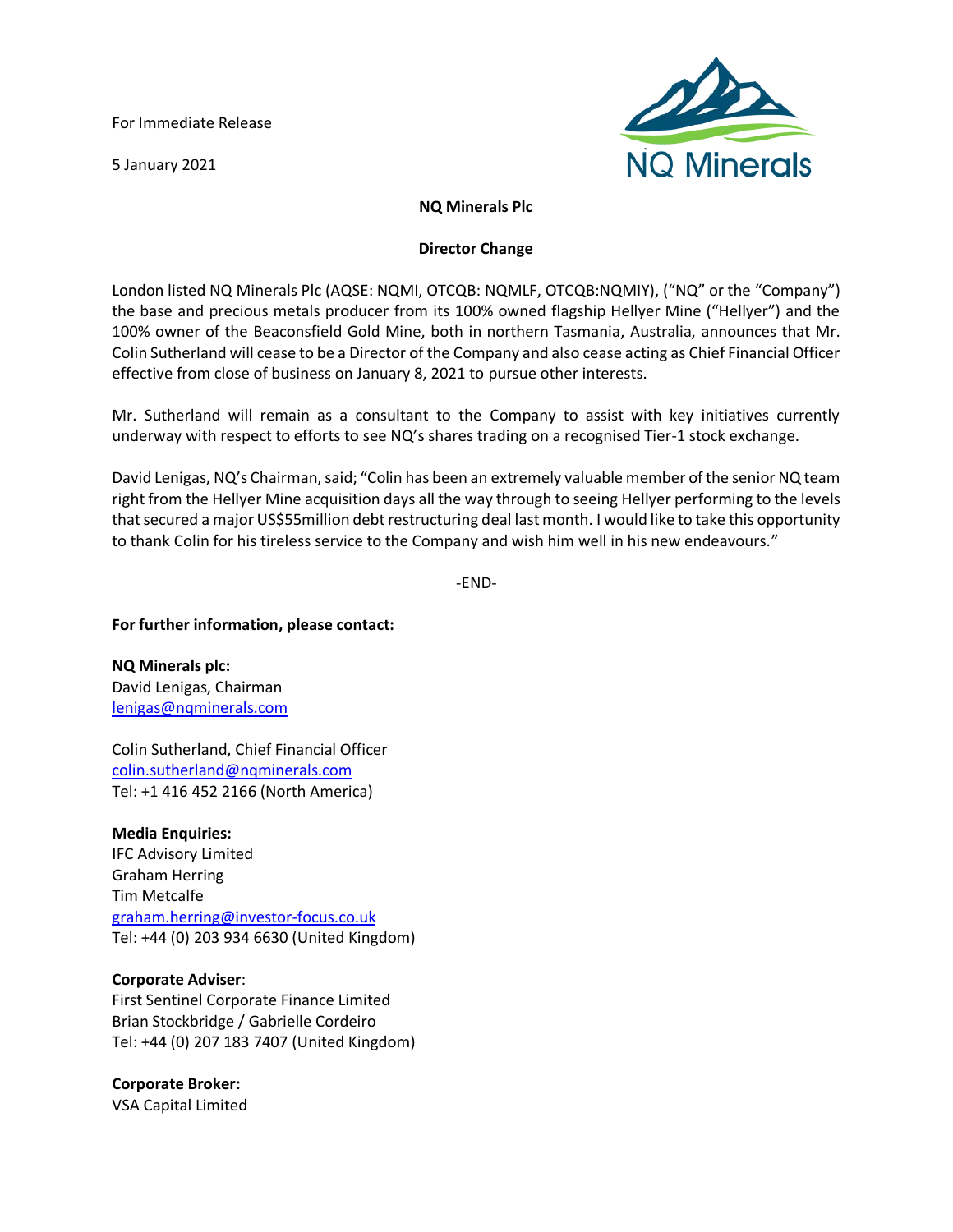For Immediate Release

5 January 2021



# **NQ Minerals Plc**

## **Director Change**

London listed NQ Minerals Plc (AQSE: NQMI, OTCQB: NQMLF, OTCQB:NQMIY), ("NQ" or the "Company") the base and precious metals producer from its 100% owned flagship Hellyer Mine ("Hellyer") and the 100% owner of the Beaconsfield Gold Mine, both in northern Tasmania, Australia, announces that Mr. Colin Sutherland will cease to be a Director of the Company and also cease acting as Chief Financial Officer effective from close of business on January 8, 2021 to pursue other interests.

Mr. Sutherland will remain as a consultant to the Company to assist with key initiatives currently underway with respect to efforts to see NQ's shares trading on a recognised Tier-1 stock exchange.

David Lenigas, NQ's Chairman, said; "Colin has been an extremely valuable member of the senior NQ team right from the Hellyer Mine acquisition days all the way through to seeing Hellyer performing to the levels that secured a major US\$55million debt restructuring deal last month. I would like to take this opportunity to thank Colin for his tireless service to the Company and wish him well in his new endeavours."

-END-

## **For further information, please contact:**

**NQ Minerals plc:** David Lenigas, Chairman [lenigas@nqminerals.com](mailto:lenigas@nqminerals.com)

Colin Sutherland, Chief Financial Officer [colin.sutherland@nqminerals.com](mailto:colin.sutherland@nqminerals.com) Tel: +1 416 452 2166 (North America)

**Media Enquiries:** IFC Advisory Limited Graham Herring Tim Metcalfe [graham.herring@investor-focus.co.uk](mailto:graham.herring@investor-focus.co.uk) Tel: +44 (0) 203 934 6630 (United Kingdom)

## **Corporate Adviser**:

First Sentinel Corporate Finance Limited Brian Stockbridge / Gabrielle Cordeiro Tel: +44 (0) 207 183 7407 (United Kingdom)

**Corporate Broker:**

VSA Capital Limited